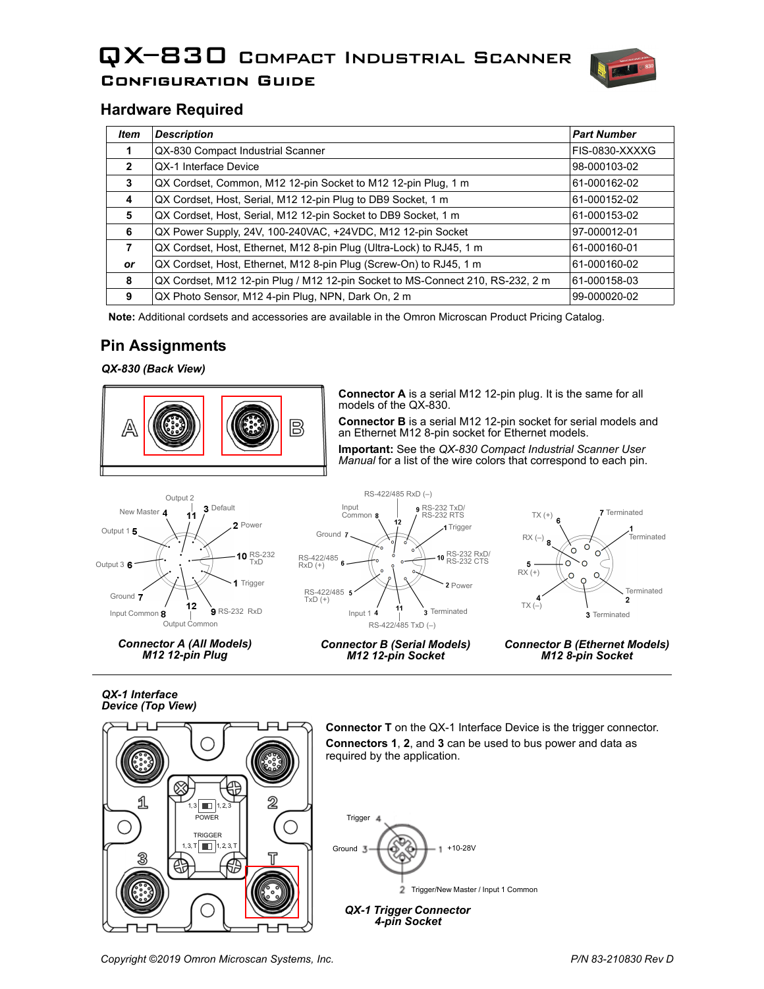# QX–830 Compact Industrial Scanner Configuration Guide



# **Hardware Required**

| Item           | <b>Description</b>                                                             | <b>Part Number</b> |
|----------------|--------------------------------------------------------------------------------|--------------------|
|                | QX-830 Compact Industrial Scanner                                              | FIS-0830-XXXXG     |
| $\overline{2}$ | QX-1 Interface Device                                                          | 98-000103-02       |
| 3              | QX Cordset, Common, M12 12-pin Socket to M12 12-pin Plug, 1 m                  | 61-000162-02       |
| 4              | QX Cordset, Host, Serial, M12 12-pin Plug to DB9 Socket, 1 m                   | 61-000152-02       |
| 5              | QX Cordset, Host, Serial, M12 12-pin Socket to DB9 Socket, 1 m                 | 61-000153-02       |
| 6              | QX Power Supply, 24V, 100-240VAC, +24VDC, M12 12-pin Socket                    | 97-000012-01       |
| 7              | QX Cordset, Host, Ethernet, M12 8-pin Plug (Ultra-Lock) to RJ45, 1 m           | 61-000160-01       |
| <b>or</b>      | QX Cordset, Host, Ethernet, M12 8-pin Plug (Screw-On) to RJ45, 1 m             | 61-000160-02       |
| 8              | QX Cordset, M12 12-pin Plug / M12 12-pin Socket to MS-Connect 210, RS-232, 2 m | 61-000158-03       |
| 9              | QX Photo Sensor, M12 4-pin Plug, NPN, Dark On, 2 m                             | 99-000020-02       |

**Note:** Additional cordsets and accessories are available in the Omron Microscan Product Pricing Catalog.

# **Pin Assignments**

*QX-830 (Back View)*



**Connector A** is a serial M12 12-pin plug. It is the same for all models of the QX-830.

**Connector B** is a serial M12 12-pin socket for serial models and an Ethernet M12 8-pin socket for Ethernet models.

**Important:** See the *QX-830 Compact Industrial Scanner User Manual* for a list of the wire colors that correspond to each pin.



*Connector A (All Models) M12 12-pin Plug*







*Connector B (Ethernet Models) M12 8-pin Socket*

*QX-1 Interface Device (Top View)*



**Connector T** on the QX-1 Interface Device is the trigger connector. **Connectors 1**, **2**, and **3** can be used to bus power and data as required by the application.



*4-pin Socket*

*Copyright ©2019 Omron Microscan Systems, Inc. P/N 83-210830 Rev D*